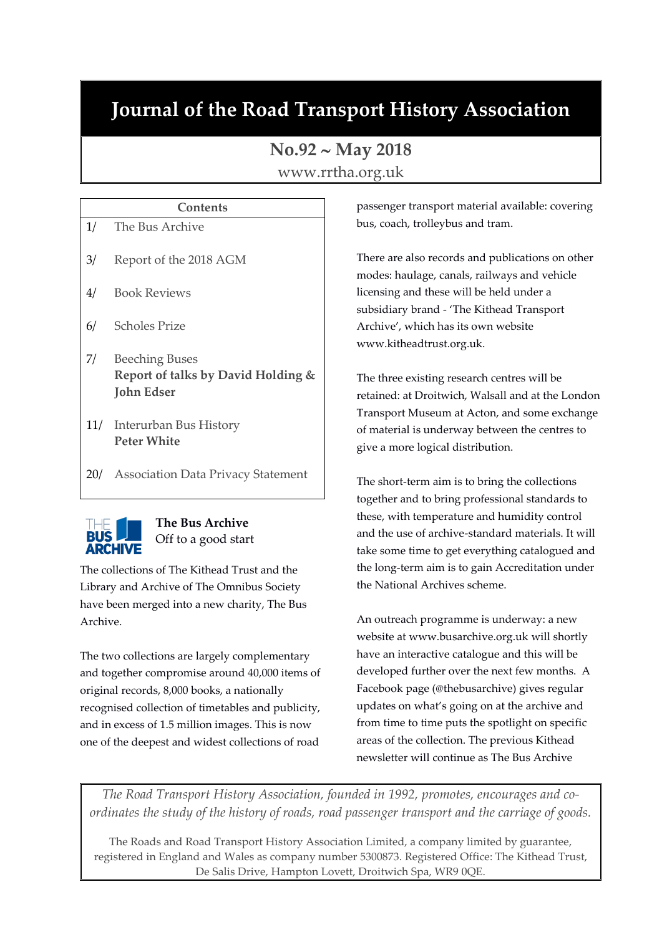# **Journal of the Road Transport History Association**

## **No.92 May 2018**

www.rrtha.org.uk

# **Contents** 1/ The Bus Archive 3/ Report of the 2018 AGM 4/ Book Reviews 6/ Scholes Prize 7/ Beeching Buses **Report of talks by David Holding & John Edser**

- 11/ Interurban Bus History **Peter White**
- 20/ Association Data Privacy Statement



### **The Bus Archive** Off to a good start

The collections of The Kithead Trust and the Library and Archive of The Omnibus Society have been merged into a new charity, The Bus Archive.

The two collections are largely complementary and together compromise around 40,000 items of original records, 8,000 books, a nationally recognised collection of timetables and publicity, and in excess of 1.5 million images. This is now one of the deepest and widest collections of road

passenger transport material available: covering bus, coach, trolleybus and tram.

There are also records and publications on other modes: haulage, canals, railways and vehicle licensing and these will be held under a subsidiary brand - 'The Kithead Transport Archive', which has its own website www.kitheadtrust.org.uk.

The three existing research centres will be retained: at Droitwich, Walsall and at the London Transport Museum at Acton, and some exchange of material is underway between the centres to give a more logical distribution.

The short-term aim is to bring the collections together and to bring professional standards to these, with temperature and humidity control and the use of archive-standard materials. It will take some time to get everything catalogued and the long-term aim is to gain Accreditation under the National Archives scheme.

An outreach programme is underway: a new website at www.busarchive.org.uk will shortly have an interactive catalogue and this will be developed further over the next few months. A Facebook page (@thebusarchive) gives regular updates on what's going on at the archive and from time to time puts the spotlight on specific areas of the collection. The previous Kithead newsletter will continue as The Bus Archive

*The Road Transport History Association, founded in 1992, promotes, encourages and coordinates the study of the history of roads, road passenger transport and the carriage of goods.*

The Roads and Road Transport History Association Limited, a company limited by guarantee, registered in England and Wales as company number 5300873. Registered Office: The Kithead Trust, De Salis Drive, Hampton Lovett, Droitwich Spa, WR9 0QE.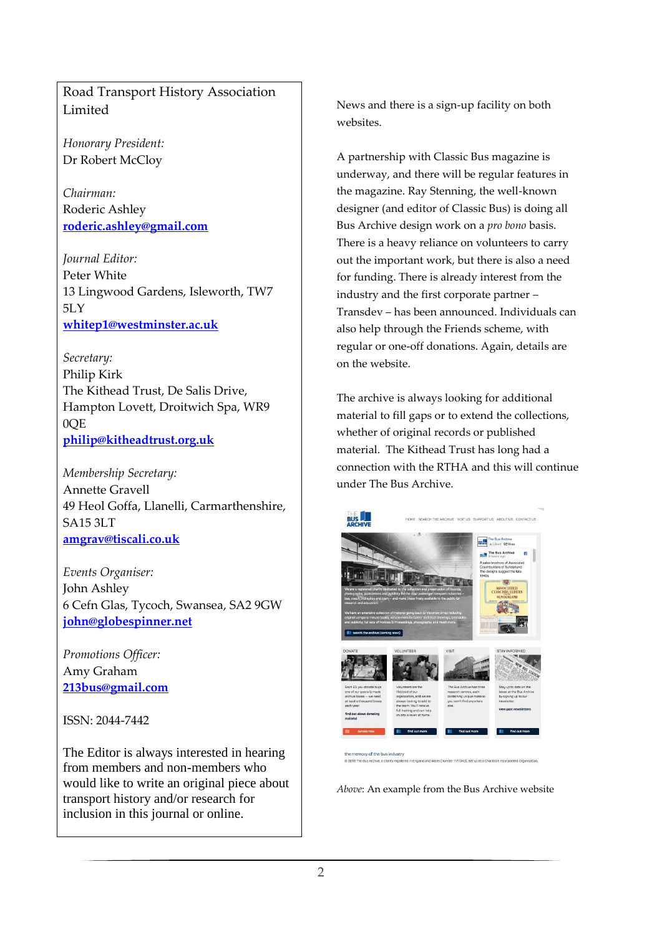Road Transport History Association Limited

*Honorary President:* Dr Robert McCloy

*Chairman:* Roderic Ashley **[roderic.ashley@gmail.com](mailto:roderic.ashley@gmail.com)**

*Journal Editor:* Peter White 13 Lingwood Gardens, Isleworth, TW7 5LY **[whitep1@westminster.ac.uk](mailto:whitep1@westminster.ac.uk)**

*Secretary:* Philip Kirk The Kithead Trust, De Salis Drive, Hampton Lovett, Droitwich Spa, WR9 0QE **[philip@kitheadtrust.org.uk](mailto:philip@kitheadtrust.org.uk)**

*Membership Secretary:* Annette Gravell 49 Heol Goffa, Llanelli, Carmarthenshire, SA15 3LT **[amgrav@tiscali.co.uk](mailto:amgrav@tiscali.co.uk)**

*Events Organiser:* John Ashley 6 Cefn Glas, Tycoch, Swansea, SA2 9GW **[john@globespinner.net](mailto:john@globespinner.net)**

*Promotions Officer:* Amy Graham **[213bus@gmail.com](mailto:213bus@gmail.com)**

ISSN: 2044-7442

The Editor is always interested in hearing from members and non-members who would like to write an original piece about transport history and/or research for inclusion in this journal or online.

News and there is a sign-up facility on both websites.

A partnership with Classic Bus magazine is underway, and there will be regular features in the magazine. Ray Stenning, the well-known designer (and editor of Classic Bus) is doing all Bus Archive design work on a *pro bono* basis. There is a heavy reliance on volunteers to carry out the important work, but there is also a need for funding. There is already interest from the industry and the first corporate partner – Transdev – has been announced. Individuals can also help through the Friends scheme, with regular or one-off donations. Again, details are on the website.

The archive is always looking for additional material to fill gaps or to extend the collections, whether of original records or published material. The Kithead Trust has long had a connection with the RTHA and this will continue under The Bus Archive.



emory of the bus indust

*Above*: An example from the Bus Archive website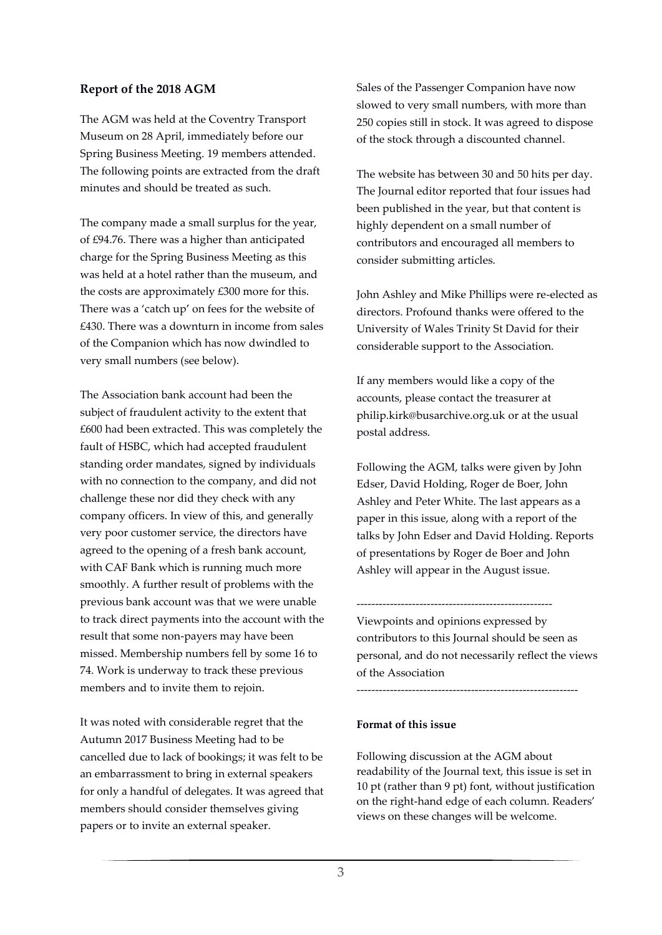#### **Report of the 2018 AGM**

The AGM was held at the Coventry Transport Museum on 28 April, immediately before our Spring Business Meeting. 19 members attended. The following points are extracted from the draft minutes and should be treated as such.

The company made a small surplus for the year, of £94.76. There was a higher than anticipated charge for the Spring Business Meeting as this was held at a hotel rather than the museum, and the costs are approximately £300 more for this. There was a 'catch up' on fees for the website of £430. There was a downturn in income from sales of the Companion which has now dwindled to very small numbers (see below).

The Association bank account had been the subject of fraudulent activity to the extent that £600 had been extracted. This was completely the fault of HSBC, which had accepted fraudulent standing order mandates, signed by individuals with no connection to the company, and did not challenge these nor did they check with any company officers. In view of this, and generally very poor customer service, the directors have agreed to the opening of a fresh bank account, with CAF Bank which is running much more smoothly. A further result of problems with the previous bank account was that we were unable to track direct payments into the account with the result that some non-payers may have been missed. Membership numbers fell by some 16 to 74. Work is underway to track these previous members and to invite them to rejoin.

It was noted with considerable regret that the Autumn 2017 Business Meeting had to be cancelled due to lack of bookings; it was felt to be an embarrassment to bring in external speakers for only a handful of delegates. It was agreed that members should consider themselves giving papers or to invite an external speaker.

Sales of the Passenger Companion have now slowed to very small numbers, with more than 250 copies still in stock. It was agreed to dispose of the stock through a discounted channel.

The website has between 30 and 50 hits per day. The Journal editor reported that four issues had been published in the year, but that content is highly dependent on a small number of contributors and encouraged all members to consider submitting articles.

John Ashley and Mike Phillips were re-elected as directors. Profound thanks were offered to the University of Wales Trinity St David for their considerable support to the Association.

If any members would like a copy of the accounts, please contact the treasurer at philip.kirk@busarchive.org.uk or at the usual postal address.

Following the AGM, talks were given by John Edser, David Holding, Roger de Boer, John Ashley and Peter White. The last appears as a paper in this issue, along with a report of the talks by John Edser and David Holding. Reports of presentations by Roger de Boer and John Ashley will appear in the August issue.

----------------------------------------------------- Viewpoints and opinions expressed by contributors to this Journal should be seen as personal, and do not necessarily reflect the views of the Association

------------------------------------------------------------

#### **Format of this issue**

Following discussion at the AGM about readability of the Journal text, this issue is set in 10 pt (rather than 9 pt) font, without justification on the right-hand edge of each column. Readers' views on these changes will be welcome.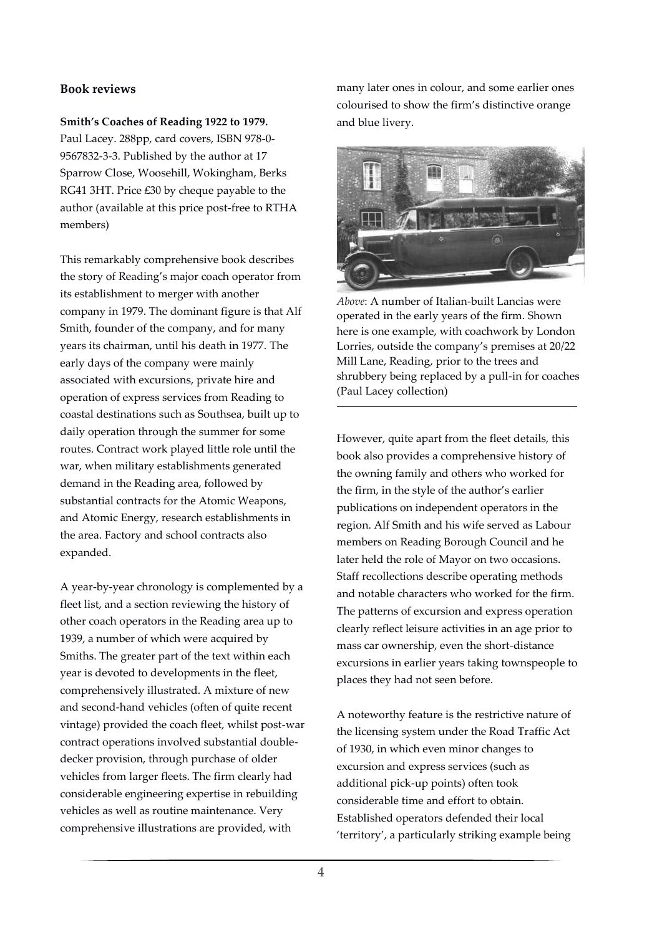#### **Book reviews**

#### **Smith's Coaches of Reading 1922 to 1979.**

Paul Lacey. 288pp, card covers, ISBN 978-0- 9567832-3-3. Published by the author at 17 Sparrow Close, Woosehill, Wokingham, Berks RG41 3HT. Price £30 by cheque payable to the author (available at this price post-free to RTHA members)

This remarkably comprehensive book describes the story of Reading's major coach operator from its establishment to merger with another company in 1979. The dominant figure is that Alf Smith, founder of the company, and for many years its chairman, until his death in 1977. The early days of the company were mainly associated with excursions, private hire and operation of express services from Reading to coastal destinations such as Southsea, built up to daily operation through the summer for some routes. Contract work played little role until the war, when military establishments generated demand in the Reading area, followed by substantial contracts for the Atomic Weapons, and Atomic Energy, research establishments in the area. Factory and school contracts also expanded.

A year-by-year chronology is complemented by a fleet list, and a section reviewing the history of other coach operators in the Reading area up to 1939, a number of which were acquired by Smiths. The greater part of the text within each year is devoted to developments in the fleet, comprehensively illustrated. A mixture of new and second-hand vehicles (often of quite recent vintage) provided the coach fleet, whilst post-war contract operations involved substantial doubledecker provision, through purchase of older vehicles from larger fleets. The firm clearly had considerable engineering expertise in rebuilding vehicles as well as routine maintenance. Very comprehensive illustrations are provided, with

many later ones in colour, and some earlier ones colourised to show the firm's distinctive orange and blue livery.



*Above*: A number of Italian-built Lancias were operated in the early years of the firm. Shown here is one example, with coachwork by London Lorries, outside the company's premises at 20/22 Mill Lane, Reading, prior to the trees and shrubbery being replaced by a pull-in for coaches (Paul Lacey collection)

However, quite apart from the fleet details, this book also provides a comprehensive history of the owning family and others who worked for the firm, in the style of the author's earlier publications on independent operators in the region. Alf Smith and his wife served as Labour members on Reading Borough Council and he later held the role of Mayor on two occasions. Staff recollections describe operating methods and notable characters who worked for the firm. The patterns of excursion and express operation clearly reflect leisure activities in an age prior to mass car ownership, even the short-distance excursions in earlier years taking townspeople to places they had not seen before.

A noteworthy feature is the restrictive nature of the licensing system under the Road Traffic Act of 1930, in which even minor changes to excursion and express services (such as additional pick-up points) often took considerable time and effort to obtain. Established operators defended their local 'territory', a particularly striking example being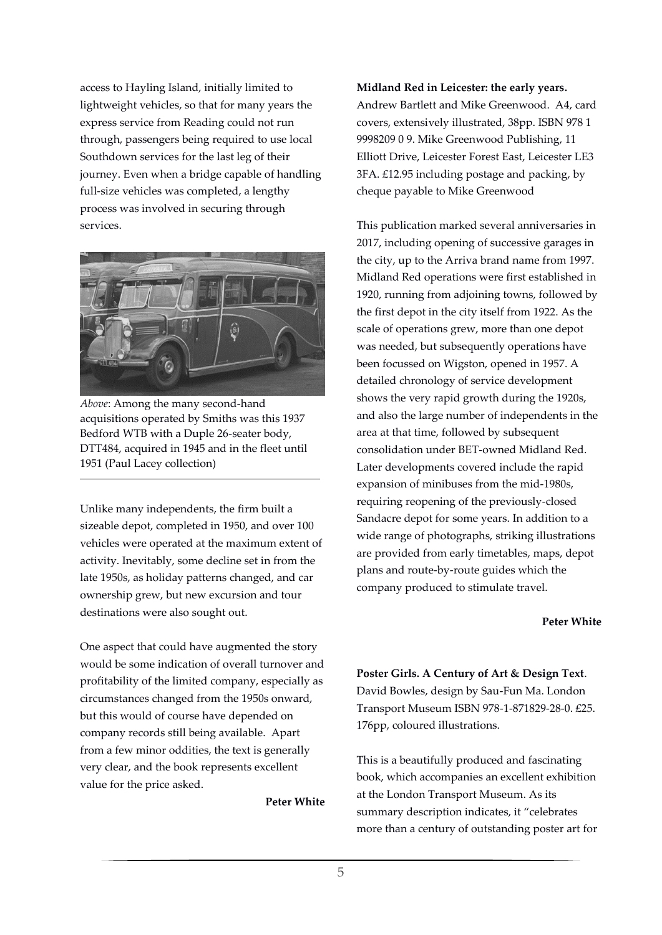access to Hayling Island, initially limited to lightweight vehicles, so that for many years the express service from Reading could not run through, passengers being required to use local Southdown services for the last leg of their journey. Even when a bridge capable of handling full-size vehicles was completed, a lengthy process was involved in securing through services.



*Above*: Among the many second-hand acquisitions operated by Smiths was this 1937 Bedford WTB with a Duple 26-seater body, DTT484, acquired in 1945 and in the fleet until 1951 (Paul Lacey collection)

Unlike many independents, the firm built a sizeable depot, completed in 1950, and over 100 vehicles were operated at the maximum extent of activity. Inevitably, some decline set in from the late 1950s, as holiday patterns changed, and car ownership grew, but new excursion and tour destinations were also sought out.

One aspect that could have augmented the story would be some indication of overall turnover and profitability of the limited company, especially as circumstances changed from the 1950s onward, but this would of course have depended on company records still being available. Apart from a few minor oddities, the text is generally very clear, and the book represents excellent value for the price asked.

**Peter White**

**Midland Red in Leicester: the early years.**

Andrew Bartlett and Mike Greenwood. A4, card covers, extensively illustrated, 38pp. ISBN 978 1 9998209 0 9. Mike Greenwood Publishing, 11 Elliott Drive, Leicester Forest East, Leicester LE3 3FA. £12.95 including postage and packing, by cheque payable to Mike Greenwood

This publication marked several anniversaries in 2017, including opening of successive garages in the city, up to the Arriva brand name from 1997. Midland Red operations were first established in 1920, running from adjoining towns, followed by the first depot in the city itself from 1922. As the scale of operations grew, more than one depot was needed, but subsequently operations have been focussed on Wigston, opened in 1957. A detailed chronology of service development shows the very rapid growth during the 1920s, and also the large number of independents in the area at that time, followed by subsequent consolidation under BET-owned Midland Red. Later developments covered include the rapid expansion of minibuses from the mid-1980s, requiring reopening of the previously-closed Sandacre depot for some years. In addition to a wide range of photographs, striking illustrations are provided from early timetables, maps, depot plans and route-by-route guides which the company produced to stimulate travel.

#### **Peter White**

**Poster Girls. A Century of Art & Design Text**. David Bowles, design by Sau-Fun Ma. London Transport Museum ISBN 978-1-871829-28-0. £25. 176pp, coloured illustrations.

This is a beautifully produced and fascinating book, which accompanies an excellent exhibition at the London Transport Museum. As its summary description indicates, it "celebrates more than a century of outstanding poster art for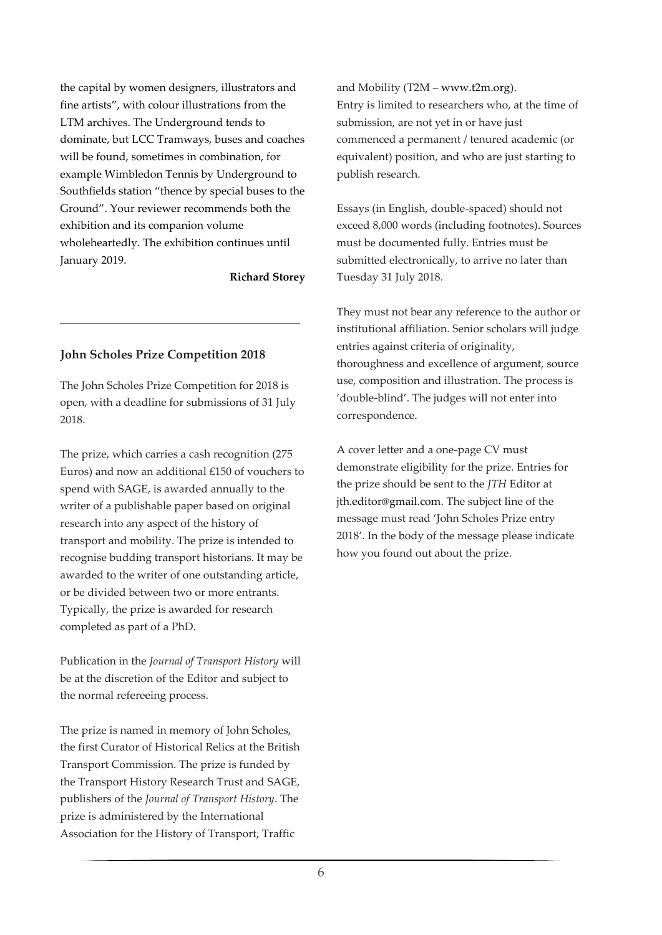the capital by women designers, illustrators and fine artists", with colour illustrations from the LTM archives. The Underground tends to dominate, but LCC Tramways, buses and coaches will be found, sometimes in combination, for example Wimbledon Tennis by Underground to Southfields station "thence by special buses to the Ground". Your reviewer recommends both the exhibition and its companion volume wholeheartedly. The exhibition continues until January 2019.

**Richard Storey**

#### **John Scholes Prize Competition 2018**

The John Scholes Prize Competition for 2018 is open, with a deadline for submissions of 31 July 2018.

The prize, which carries a cash recognition (275 Euros) and now an additional £150 of vouchers to spend with SAGE, is awarded annually to the writer of a publishable paper based on original research into any aspect of the history of transport and mobility. The prize is intended to recognise budding transport historians. It may be awarded to the writer of one outstanding article, or be divided between two or more entrants. Typically, the prize is awarded for research completed as part of a PhD.

Publication in the *Journal of Transport History* will be at the discretion of the Editor and subject to the normal refereeing process.

The prize is named in memory of John Scholes, the first Curator of Historical Relics at the British Transport Commission. The prize is funded by the Transport History Research Trust and SAGE, publishers of the *Journal of Transport History*. The prize is administered by the International Association for the History of Transport, Traffic

and Mobility (T2M – www.t2m.org). Entry is limited to researchers who, at the time of submission, are not yet in or have just commenced a permanent / tenured academic (or equivalent) position, and who are just starting to publish research.

Essays (in English, double-spaced) should not exceed 8,000 words (including footnotes). Sources must be documented fully. Entries must be submitted electronically, to arrive no later than Tuesday 31 July 2018.

They must not bear any reference to the author or institutional affiliation. Senior scholars will judge entries against criteria of originality, thoroughness and excellence of argument, source use, composition and illustration. The process is 'double-blind'. The judges will not enter into correspondence.

A cover letter and a one-page CV must demonstrate eligibility for the prize. Entries for the prize should be sent to the *JTH* Editor at jth.editor@gmail.com. The subject line of the message must read 'John Scholes Prize entry 2018'. In the body of the message please indicate how you found out about the prize.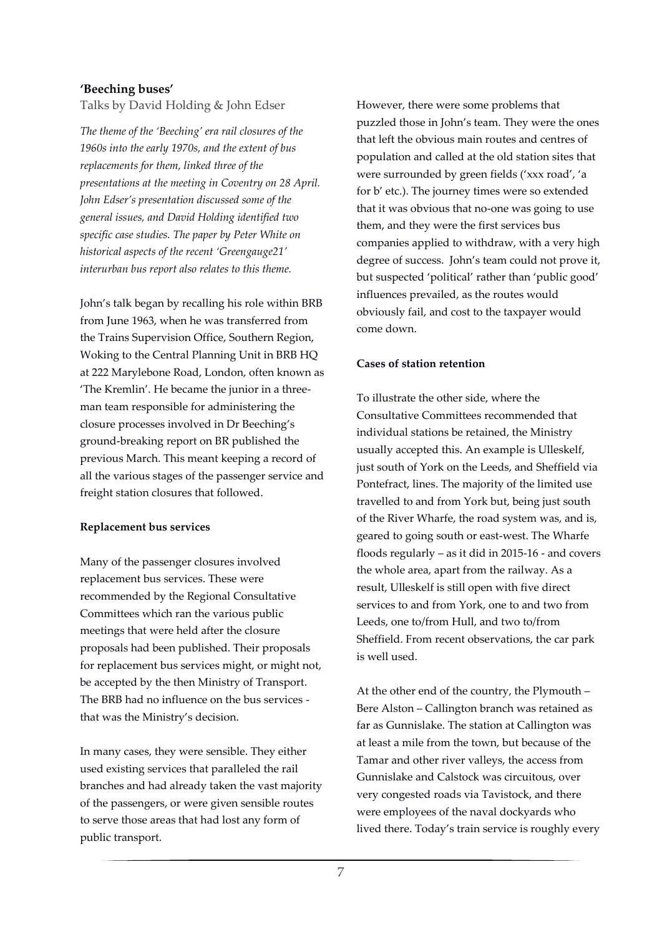#### **'Beeching buses'**

Talks by David Holding & John Edser

*The theme of the 'Beeching' era rail closures of the 1960s into the early 1970s, and the extent of bus replacements for them, linked three of the presentations at the meeting in Coventry on 28 April. John Edser's presentation discussed some of the general issues, and David Holding identified two specific case studies. The paper by Peter White on historical aspects of the recent 'Greengauge21' interurban bus report also relates to this theme.* 

John's talk began by recalling his role within BRB from June 1963, when he was transferred from the Trains Supervision Office, Southern Region, Woking to the Central Planning Unit in BRB HQ at 222 Marylebone Road, London, often known as 'The Kremlin'. He became the junior in a threeman team responsible for administering the closure processes involved in Dr Beeching's ground-breaking report on BR published the previous March. This meant keeping a record of all the various stages of the passenger service and freight station closures that followed.

#### **Replacement bus services**

Many of the passenger closures involved replacement bus services. These were recommended by the Regional Consultative Committees which ran the various public meetings that were held after the closure proposals had been published. Their proposals for replacement bus services might, or might not, be accepted by the then Ministry of Transport. The BRB had no influence on the bus services that was the Ministry's decision.

In many cases, they were sensible. They either used existing services that paralleled the rail branches and had already taken the vast majority of the passengers, or were given sensible routes to serve those areas that had lost any form of public transport.

However, there were some problems that puzzled those in John's team. They were the ones that left the obvious main routes and centres of population and called at the old station sites that were surrounded by green fields ('xxx road', 'a for b' etc.). The journey times were so extended that it was obvious that no-one was going to use them, and they were the first services bus companies applied to withdraw, with a very high degree of success. John's team could not prove it, but suspected 'political' rather than 'public good' influences prevailed, as the routes would obviously fail, and cost to the taxpayer would come down.

#### **Cases of station retention**

To illustrate the other side, where the Consultative Committees recommended that individual stations be retained, the Ministry usually accepted this. An example is Ulleskelf, just south of York on the Leeds, and Sheffield via Pontefract, lines. The majority of the limited use travelled to and from York but, being just south of the River Wharfe, the road system was, and is, geared to going south or east-west. The Wharfe floods regularly – as it did in 2015-16 - and covers the whole area, apart from the railway. As a result, Ulleskelf is still open with five direct services to and from York, one to and two from Leeds, one to/from Hull, and two to/from Sheffield. From recent observations, the car park is well used.

At the other end of the country, the Plymouth – Bere Alston – Callington branch was retained as far as Gunnislake. The station at Callington was at least a mile from the town, but because of the Tamar and other river valleys, the access from Gunnislake and Calstock was circuitous, over very congested roads via Tavistock, and there were employees of the naval dockyards who lived there. Today's train service is roughly every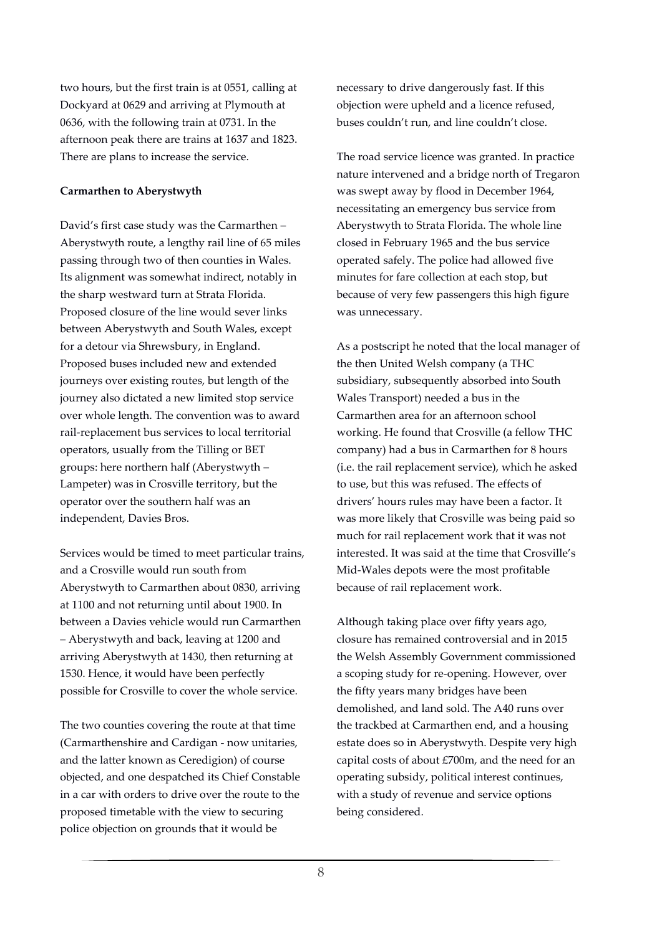two hours, but the first train is at 0551, calling at Dockyard at 0629 and arriving at Plymouth at 0636, with the following train at 0731. In the afternoon peak there are trains at 1637 and 1823. There are plans to increase the service.

#### **Carmarthen to Aberystwyth**

David's first case study was the Carmarthen – Aberystwyth route, a lengthy rail line of 65 miles passing through two of then counties in Wales. Its alignment was somewhat indirect, notably in the sharp westward turn at Strata Florida. Proposed closure of the line would sever links between Aberystwyth and South Wales, except for a detour via Shrewsbury, in England. Proposed buses included new and extended journeys over existing routes, but length of the journey also dictated a new limited stop service over whole length. The convention was to award rail-replacement bus services to local territorial operators, usually from the Tilling or BET groups: here northern half (Aberystwyth – Lampeter) was in Crosville territory, but the operator over the southern half was an independent, Davies Bros.

Services would be timed to meet particular trains, and a Crosville would run south from Aberystwyth to Carmarthen about 0830, arriving at 1100 and not returning until about 1900. In between a Davies vehicle would run Carmarthen – Aberystwyth and back, leaving at 1200 and arriving Aberystwyth at 1430, then returning at 1530. Hence, it would have been perfectly possible for Crosville to cover the whole service.

The two counties covering the route at that time (Carmarthenshire and Cardigan - now unitaries, and the latter known as Ceredigion) of course objected, and one despatched its Chief Constable in a car with orders to drive over the route to the proposed timetable with the view to securing police objection on grounds that it would be

necessary to drive dangerously fast. If this objection were upheld and a licence refused, buses couldn't run, and line couldn't close.

The road service licence was granted. In practice nature intervened and a bridge north of Tregaron was swept away by flood in December 1964, necessitating an emergency bus service from Aberystwyth to Strata Florida. The whole line closed in February 1965 and the bus service operated safely. The police had allowed five minutes for fare collection at each stop, but because of very few passengers this high figure was unnecessary.

As a postscript he noted that the local manager of the then United Welsh company (a THC subsidiary, subsequently absorbed into South Wales Transport) needed a bus in the Carmarthen area for an afternoon school working. He found that Crosville (a fellow THC company) had a bus in Carmarthen for 8 hours (i.e. the rail replacement service), which he asked to use, but this was refused. The effects of drivers' hours rules may have been a factor. It was more likely that Crosville was being paid so much for rail replacement work that it was not interested. It was said at the time that Crosville's Mid-Wales depots were the most profitable because of rail replacement work.

Although taking place over fifty years ago, closure has remained controversial and in 2015 the Welsh Assembly Government commissioned a scoping study for re-opening. However, over the fifty years many bridges have been demolished, and land sold. The A40 runs over the trackbed at Carmarthen end, and a housing estate does so in Aberystwyth. Despite very high capital costs of about £700m, and the need for an operating subsidy, political interest continues, with a study of revenue and service options being considered.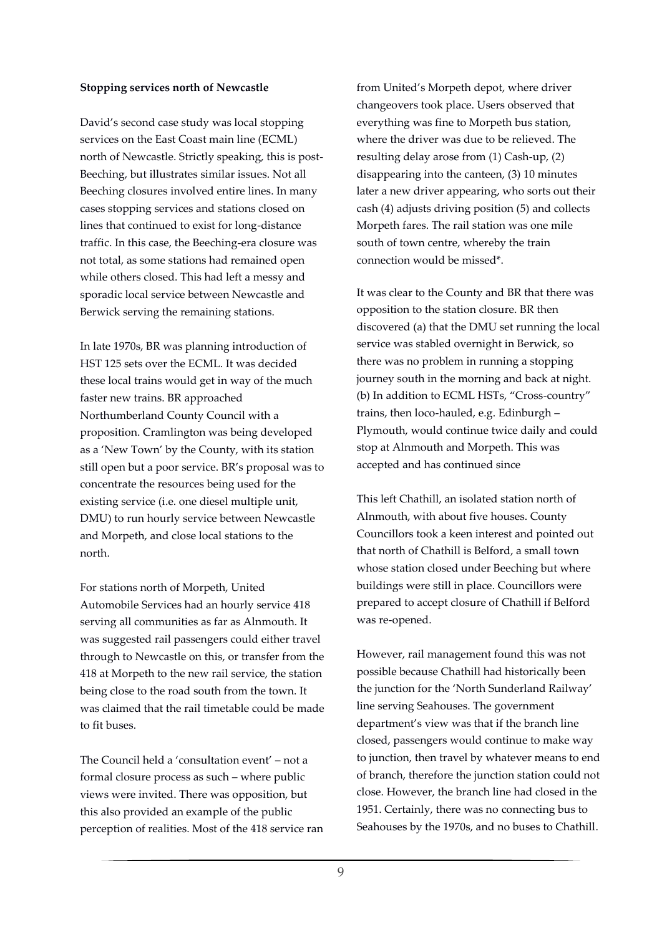#### **Stopping services north of Newcastle**

David's second case study was local stopping services on the East Coast main line (ECML) north of Newcastle. Strictly speaking, this is post-Beeching, but illustrates similar issues. Not all Beeching closures involved entire lines. In many cases stopping services and stations closed on lines that continued to exist for long-distance traffic. In this case, the Beeching-era closure was not total, as some stations had remained open while others closed. This had left a messy and sporadic local service between Newcastle and Berwick serving the remaining stations.

In late 1970s, BR was planning introduction of HST 125 sets over the ECML. It was decided these local trains would get in way of the much faster new trains. BR approached Northumberland County Council with a proposition. Cramlington was being developed as a 'New Town' by the County, with its station still open but a poor service. BR's proposal was to concentrate the resources being used for the existing service (i.e. one diesel multiple unit, DMU) to run hourly service between Newcastle and Morpeth, and close local stations to the north.

For stations north of Morpeth, United Automobile Services had an hourly service 418 serving all communities as far as Alnmouth. It was suggested rail passengers could either travel through to Newcastle on this, or transfer from the 418 at Morpeth to the new rail service, the station being close to the road south from the town. It was claimed that the rail timetable could be made to fit buses.

The Council held a 'consultation event' – not a formal closure process as such – where public views were invited. There was opposition, but this also provided an example of the public perception of realities. Most of the 418 service ran

from United's Morpeth depot, where driver changeovers took place. Users observed that everything was fine to Morpeth bus station, where the driver was due to be relieved. The resulting delay arose from (1) Cash-up, (2) disappearing into the canteen, (3) 10 minutes later a new driver appearing, who sorts out their cash (4) adjusts driving position (5) and collects Morpeth fares. The rail station was one mile south of town centre, whereby the train connection would be missed\*.

It was clear to the County and BR that there was opposition to the station closure. BR then discovered (a) that the DMU set running the local service was stabled overnight in Berwick, so there was no problem in running a stopping journey south in the morning and back at night. (b) In addition to ECML HSTs, "Cross-country" trains, then loco-hauled, e.g. Edinburgh – Plymouth, would continue twice daily and could stop at Alnmouth and Morpeth. This was accepted and has continued since

This left Chathill, an isolated station north of Alnmouth, with about five houses. County Councillors took a keen interest and pointed out that north of Chathill is Belford, a small town whose station closed under Beeching but where buildings were still in place. Councillors were prepared to accept closure of Chathill if Belford was re-opened.

However, rail management found this was not possible because Chathill had historically been the junction for the 'North Sunderland Railway' line serving Seahouses. The government department's view was that if the branch line closed, passengers would continue to make way to junction, then travel by whatever means to end of branch, therefore the junction station could not close. However, the branch line had closed in the 1951. Certainly, there was no connecting bus to Seahouses by the 1970s, and no buses to Chathill.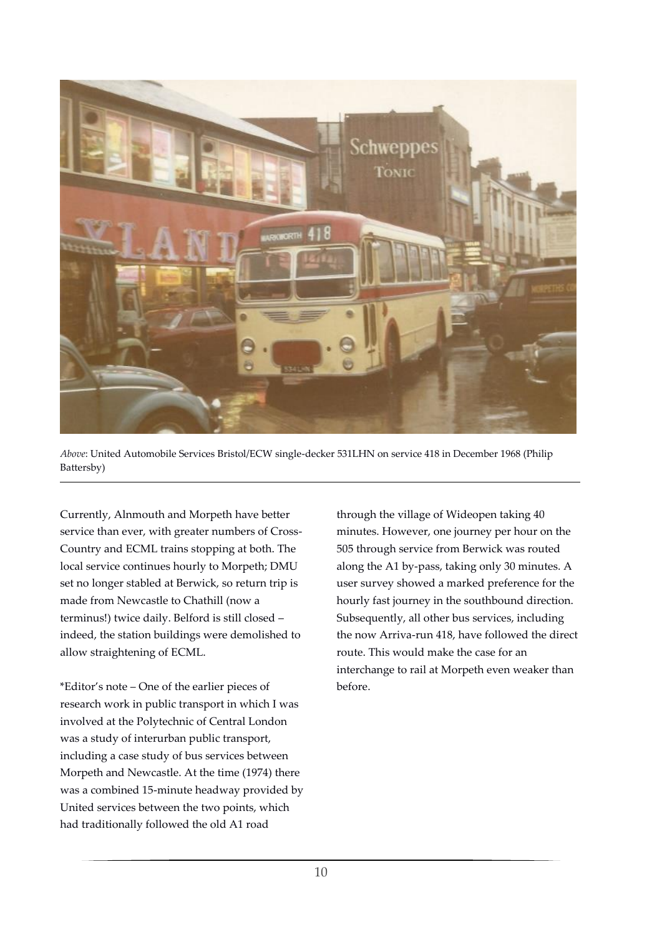

*Above*: United Automobile Services Bristol/ECW single-decker 531LHN on service 418 in December 1968 (Philip Battersby)

Currently, Alnmouth and Morpeth have better service than ever, with greater numbers of Cross-Country and ECML trains stopping at both. The local service continues hourly to Morpeth; DMU set no longer stabled at Berwick, so return trip is made from Newcastle to Chathill (now a terminus!) twice daily. Belford is still closed – indeed, the station buildings were demolished to allow straightening of ECML.

\*Editor's note – One of the earlier pieces of research work in public transport in which I was involved at the Polytechnic of Central London was a study of interurban public transport, including a case study of bus services between Morpeth and Newcastle. At the time (1974) there was a combined 15-minute headway provided by United services between the two points, which had traditionally followed the old A1 road

through the village of Wideopen taking 40 minutes. However, one journey per hour on the 505 through service from Berwick was routed along the A1 by-pass, taking only 30 minutes. A user survey showed a marked preference for the hourly fast journey in the southbound direction. Subsequently, all other bus services, including the now Arriva-run 418, have followed the direct route. This would make the case for an interchange to rail at Morpeth even weaker than before.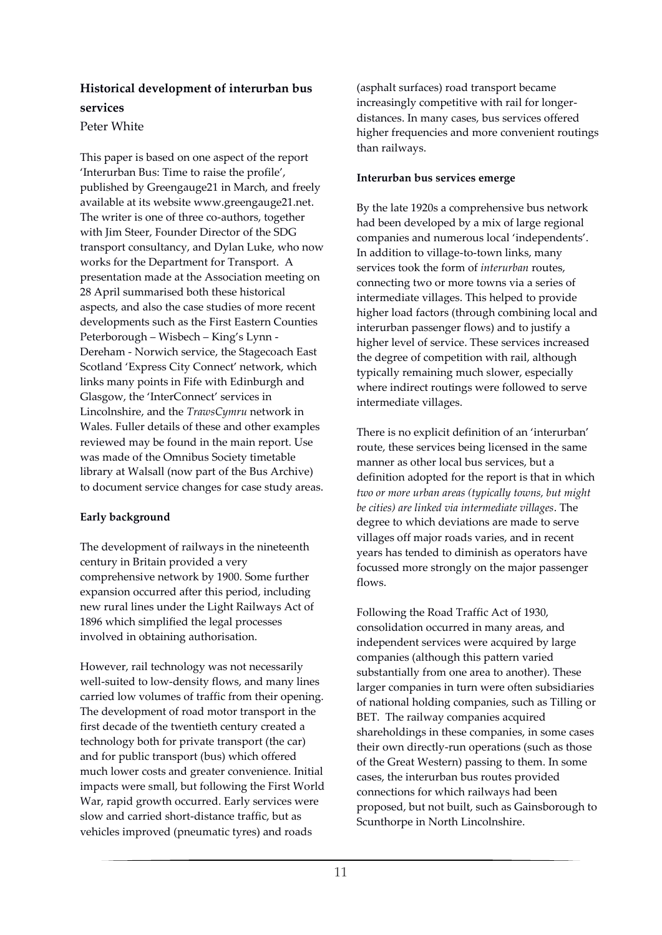## **Historical development of interurban bus services**

#### Peter White

This paper is based on one aspect of the report 'Interurban Bus: Time to raise the profile', published by Greengauge21 in March, and freely available at its website www.greengauge21.net. The writer is one of three co-authors, together with Jim Steer, Founder Director of the SDG transport consultancy, and Dylan Luke, who now works for the Department for Transport. A presentation made at the Association meeting on 28 April summarised both these historical aspects, and also the case studies of more recent developments such as the First Eastern Counties Peterborough – Wisbech – King's Lynn - Dereham - Norwich service, the Stagecoach East Scotland 'Express City Connect' network, which links many points in Fife with Edinburgh and Glasgow, the 'InterConnect' services in Lincolnshire, and the *TrawsCymru* network in Wales. Fuller details of these and other examples reviewed may be found in the main report. Use was made of the Omnibus Society timetable library at Walsall (now part of the Bus Archive) to document service changes for case study areas.

#### **Early background**

The development of railways in the nineteenth century in Britain provided a very comprehensive network by 1900. Some further expansion occurred after this period, including new rural lines under the Light Railways Act of 1896 which simplified the legal processes involved in obtaining authorisation.

However, rail technology was not necessarily well-suited to low-density flows, and many lines carried low volumes of traffic from their opening. The development of road motor transport in the first decade of the twentieth century created a technology both for private transport (the car) and for public transport (bus) which offered much lower costs and greater convenience. Initial impacts were small, but following the First World War, rapid growth occurred. Early services were slow and carried short-distance traffic, but as vehicles improved (pneumatic tyres) and roads

(asphalt surfaces) road transport became increasingly competitive with rail for longerdistances. In many cases, bus services offered higher frequencies and more convenient routings than railways.

#### **Interurban bus services emerge**

By the late 1920s a comprehensive bus network had been developed by a mix of large regional companies and numerous local 'independents'. In addition to village-to-town links, many services took the form of *interurban* routes, connecting two or more towns via a series of intermediate villages. This helped to provide higher load factors (through combining local and interurban passenger flows) and to justify a higher level of service. These services increased the degree of competition with rail, although typically remaining much slower, especially where indirect routings were followed to serve intermediate villages.

There is no explicit definition of an 'interurban' route, these services being licensed in the same manner as other local bus services, but a definition adopted for the report is that in which *two or more urban areas (typically towns, but might be cities) are linked via intermediate villages*. The degree to which deviations are made to serve villages off major roads varies, and in recent years has tended to diminish as operators have focussed more strongly on the major passenger flows.

Following the Road Traffic Act of 1930, consolidation occurred in many areas, and independent services were acquired by large companies (although this pattern varied substantially from one area to another). These larger companies in turn were often subsidiaries of national holding companies, such as Tilling or BET. The railway companies acquired shareholdings in these companies, in some cases their own directly-run operations (such as those of the Great Western) passing to them. In some cases, the interurban bus routes provided connections for which railways had been proposed, but not built, such as Gainsborough to Scunthorpe in North Lincolnshire.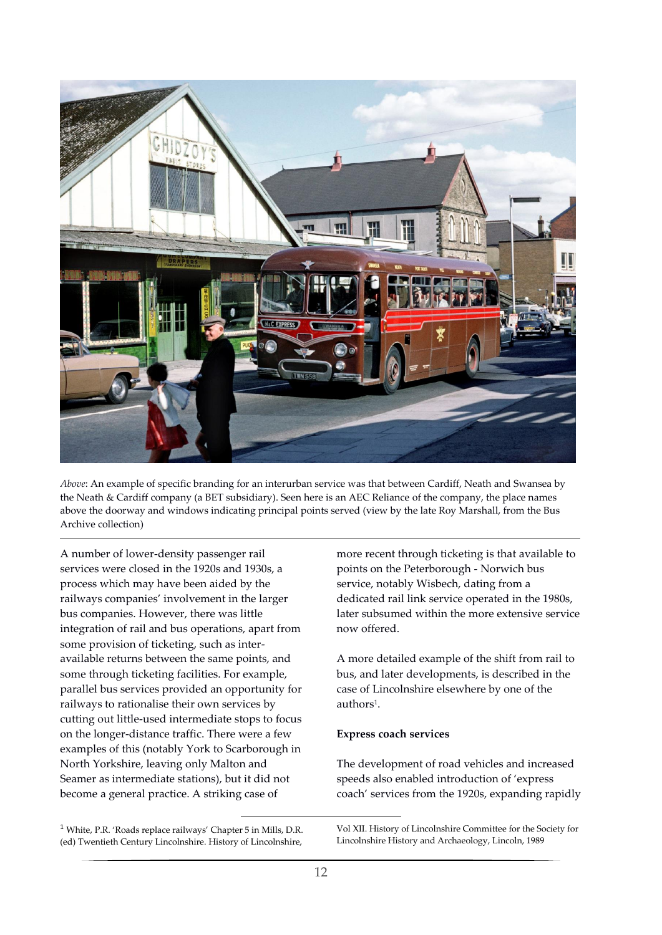

*Above*: An example of specific branding for an interurban service was that between Cardiff, Neath and Swansea by the Neath & Cardiff company (a BET subsidiary). Seen here is an AEC Reliance of the company, the place names above the doorway and windows indicating principal points served (view by the late Roy Marshall, from the Bus Archive collection)

A number of lower-density passenger rail services were closed in the 1920s and 1930s, a process which may have been aided by the railways companies' involvement in the larger bus companies. However, there was little integration of rail and bus operations, apart from some provision of ticketing, such as interavailable returns between the same points, and some through ticketing facilities. For example, parallel bus services provided an opportunity for railways to rationalise their own services by cutting out little-used intermediate stops to focus on the longer-distance traffic. There were a few examples of this (notably York to Scarborough in North Yorkshire, leaving only Malton and Seamer as intermediate stations), but it did not become a general practice. A striking case of

more recent through ticketing is that available to points on the Peterborough - Norwich bus service, notably Wisbech, dating from a dedicated rail link service operated in the 1980s, later subsumed within the more extensive service now offered.

A more detailed example of the shift from rail to bus, and later developments, is described in the case of Lincolnshire elsewhere by one of the authors<sup>1</sup>.

#### **Express coach services**

The development of road vehicles and increased speeds also enabled introduction of 'express coach' services from the 1920s, expanding rapidly

<sup>1</sup> White, P.R. 'Roads replace railways' Chapter 5 in Mills, D.R. (ed) Twentieth Century Lincolnshire. History of Lincolnshire,

-

Vol XII. History of Lincolnshire Committee for the Society for Lincolnshire History and Archaeology, Lincoln, 1989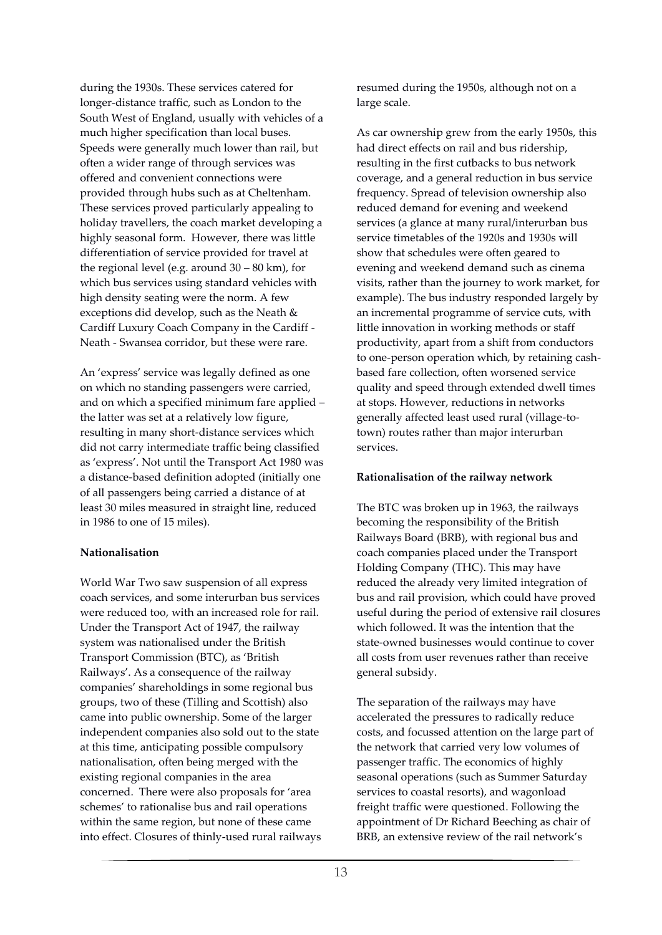during the 1930s. These services catered for longer-distance traffic, such as London to the South West of England, usually with vehicles of a much higher specification than local buses. Speeds were generally much lower than rail, but often a wider range of through services was offered and convenient connections were provided through hubs such as at Cheltenham. These services proved particularly appealing to holiday travellers, the coach market developing a highly seasonal form. However, there was little differentiation of service provided for travel at the regional level (e.g. around  $30 - 80$  km), for which bus services using standard vehicles with high density seating were the norm. A few exceptions did develop, such as the Neath & Cardiff Luxury Coach Company in the Cardiff - Neath - Swansea corridor, but these were rare.

An 'express' service was legally defined as one on which no standing passengers were carried, and on which a specified minimum fare applied – the latter was set at a relatively low figure, resulting in many short-distance services which did not carry intermediate traffic being classified as 'express'. Not until the Transport Act 1980 was a distance-based definition adopted (initially one of all passengers being carried a distance of at least 30 miles measured in straight line, reduced in 1986 to one of 15 miles).

#### **Nationalisation**

World War Two saw suspension of all express coach services, and some interurban bus services were reduced too, with an increased role for rail. Under the Transport Act of 1947, the railway system was nationalised under the British Transport Commission (BTC), as 'British Railways'. As a consequence of the railway companies' shareholdings in some regional bus groups, two of these (Tilling and Scottish) also came into public ownership. Some of the larger independent companies also sold out to the state at this time, anticipating possible compulsory nationalisation, often being merged with the existing regional companies in the area concerned. There were also proposals for 'area schemes' to rationalise bus and rail operations within the same region, but none of these came into effect. Closures of thinly-used rural railways resumed during the 1950s, although not on a large scale.

As car ownership grew from the early 1950s, this had direct effects on rail and bus ridership, resulting in the first cutbacks to bus network coverage, and a general reduction in bus service frequency. Spread of television ownership also reduced demand for evening and weekend services (a glance at many rural/interurban bus service timetables of the 1920s and 1930s will show that schedules were often geared to evening and weekend demand such as cinema visits, rather than the journey to work market, for example). The bus industry responded largely by an incremental programme of service cuts, with little innovation in working methods or staff productivity, apart from a shift from conductors to one-person operation which, by retaining cashbased fare collection, often worsened service quality and speed through extended dwell times at stops. However, reductions in networks generally affected least used rural (village-totown) routes rather than major interurban services.

#### **Rationalisation of the railway network**

The BTC was broken up in 1963, the railways becoming the responsibility of the British Railways Board (BRB), with regional bus and coach companies placed under the Transport Holding Company (THC). This may have reduced the already very limited integration of bus and rail provision, which could have proved useful during the period of extensive rail closures which followed. It was the intention that the state-owned businesses would continue to cover all costs from user revenues rather than receive general subsidy.

The separation of the railways may have accelerated the pressures to radically reduce costs, and focussed attention on the large part of the network that carried very low volumes of passenger traffic. The economics of highly seasonal operations (such as Summer Saturday services to coastal resorts), and wagonload freight traffic were questioned. Following the appointment of Dr Richard Beeching as chair of BRB, an extensive review of the rail network's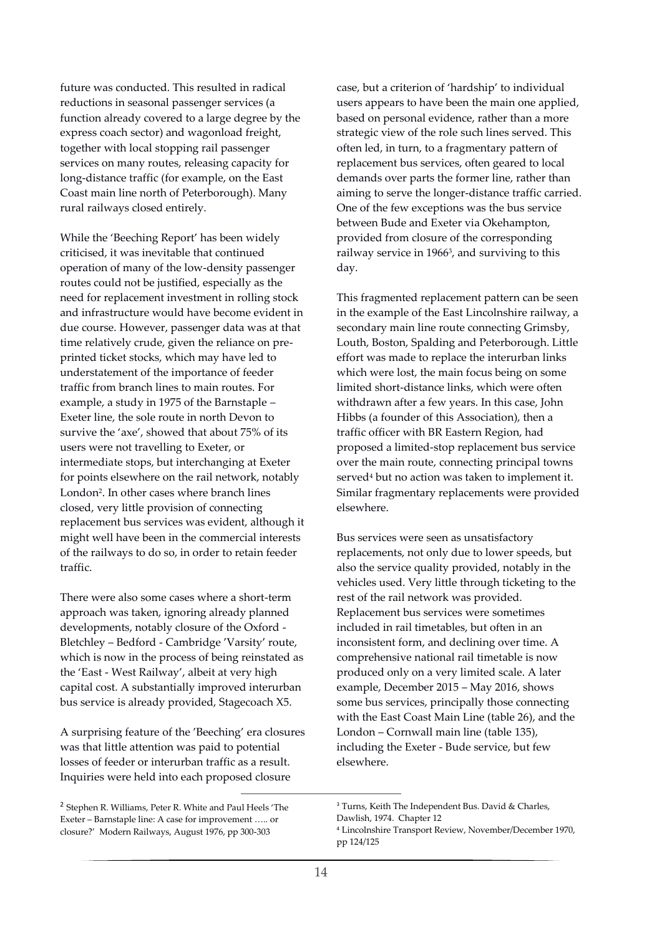future was conducted. This resulted in radical reductions in seasonal passenger services (a function already covered to a large degree by the express coach sector) and wagonload freight, together with local stopping rail passenger services on many routes, releasing capacity for long-distance traffic (for example, on the East Coast main line north of Peterborough). Many rural railways closed entirely.

While the 'Beeching Report' has been widely criticised, it was inevitable that continued operation of many of the low-density passenger routes could not be justified, especially as the need for replacement investment in rolling stock and infrastructure would have become evident in due course. However, passenger data was at that time relatively crude, given the reliance on preprinted ticket stocks, which may have led to understatement of the importance of feeder traffic from branch lines to main routes. For example, a study in 1975 of the Barnstaple – Exeter line, the sole route in north Devon to survive the 'axe', showed that about 75% of its users were not travelling to Exeter, or intermediate stops, but interchanging at Exeter for points elsewhere on the rail network, notably London<sup>2</sup> . In other cases where branch lines closed, very little provision of connecting replacement bus services was evident, although it might well have been in the commercial interests of the railways to do so, in order to retain feeder traffic.

There were also some cases where a short-term approach was taken, ignoring already planned developments, notably closure of the Oxford - Bletchley – Bedford - Cambridge 'Varsity' route, which is now in the process of being reinstated as the 'East - West Railway', albeit at very high capital cost. A substantially improved interurban bus service is already provided, Stagecoach X5.

A surprising feature of the 'Beeching' era closures was that little attention was paid to potential losses of feeder or interurban traffic as a result. Inquiries were held into each proposed closure

-

case, but a criterion of 'hardship' to individual users appears to have been the main one applied, based on personal evidence, rather than a more strategic view of the role such lines served. This often led, in turn, to a fragmentary pattern of replacement bus services, often geared to local demands over parts the former line, rather than aiming to serve the longer-distance traffic carried. One of the few exceptions was the bus service between Bude and Exeter via Okehampton, provided from closure of the corresponding railway service in 1966<sup>3</sup> , and surviving to this day.

This fragmented replacement pattern can be seen in the example of the East Lincolnshire railway, a secondary main line route connecting Grimsby, Louth, Boston, Spalding and Peterborough. Little effort was made to replace the interurban links which were lost, the main focus being on some limited short-distance links, which were often withdrawn after a few years. In this case, John Hibbs (a founder of this Association), then a traffic officer with BR Eastern Region, had proposed a limited-stop replacement bus service over the main route, connecting principal towns served<sup>4</sup> but no action was taken to implement it. Similar fragmentary replacements were provided elsewhere.

Bus services were seen as unsatisfactory replacements, not only due to lower speeds, but also the service quality provided, notably in the vehicles used. Very little through ticketing to the rest of the rail network was provided. Replacement bus services were sometimes included in rail timetables, but often in an inconsistent form, and declining over time. A comprehensive national rail timetable is now produced only on a very limited scale. A later example, December 2015 – May 2016, shows some bus services, principally those connecting with the East Coast Main Line (table 26), and the London – Cornwall main line (table 135), including the Exeter - Bude service, but few elsewhere.

<sup>&</sup>lt;sup>2</sup> Stephen R. Williams, Peter R. White and Paul Heels 'The Exeter – Barnstaple line: A case for improvement ….. or closure?' Modern Railways, August 1976, pp 300-303

<sup>&</sup>lt;sup>3</sup> Turns, Keith The Independent Bus. David & Charles, Dawlish, 1974. Chapter 12

<sup>4</sup> Lincolnshire Transport Review, November/December 1970, pp 124/125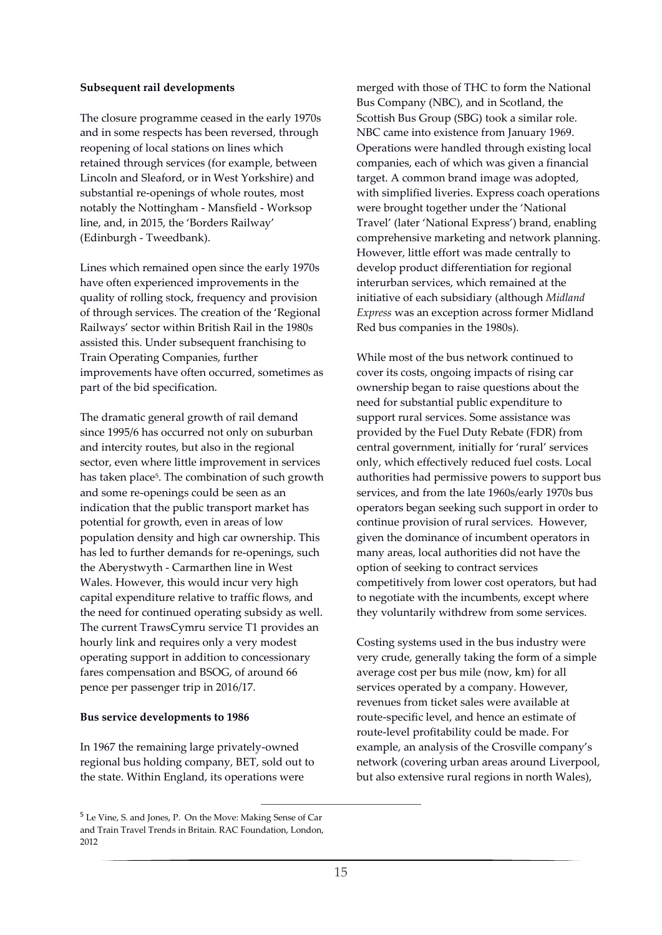#### **Subsequent rail developments**

The closure programme ceased in the early 1970s and in some respects has been reversed, through reopening of local stations on lines which retained through services (for example, between Lincoln and Sleaford, or in West Yorkshire) and substantial re-openings of whole routes, most notably the Nottingham - Mansfield - Worksop line, and, in 2015, the 'Borders Railway' (Edinburgh - Tweedbank).

Lines which remained open since the early 1970s have often experienced improvements in the quality of rolling stock, frequency and provision of through services. The creation of the 'Regional Railways' sector within British Rail in the 1980s assisted this. Under subsequent franchising to Train Operating Companies, further improvements have often occurred, sometimes as part of the bid specification.

The dramatic general growth of rail demand since 1995/6 has occurred not only on suburban and intercity routes, but also in the regional sector, even where little improvement in services has taken place<sup>5</sup>. The combination of such growth and some re-openings could be seen as an indication that the public transport market has potential for growth, even in areas of low population density and high car ownership. This has led to further demands for re-openings, such the Aberystwyth - Carmarthen line in West Wales. However, this would incur very high capital expenditure relative to traffic flows, and the need for continued operating subsidy as well. The current TrawsCymru service T1 provides an hourly link and requires only a very modest operating support in addition to concessionary fares compensation and BSOG, of around 66 pence per passenger trip in 2016/17.

#### **Bus service developments to 1986**

In 1967 the remaining large privately-owned regional bus holding company, BET, sold out to the state. Within England, its operations were

1

merged with those of THC to form the National Bus Company (NBC), and in Scotland, the Scottish Bus Group (SBG) took a similar role. NBC came into existence from January 1969. Operations were handled through existing local companies, each of which was given a financial target. A common brand image was adopted, with simplified liveries. Express coach operations were brought together under the 'National Travel' (later 'National Express') brand, enabling comprehensive marketing and network planning. However, little effort was made centrally to develop product differentiation for regional interurban services, which remained at the initiative of each subsidiary (although *Midland Express* was an exception across former Midland Red bus companies in the 1980s).

While most of the bus network continued to cover its costs, ongoing impacts of rising car ownership began to raise questions about the need for substantial public expenditure to support rural services. Some assistance was provided by the Fuel Duty Rebate (FDR) from central government, initially for 'rural' services only, which effectively reduced fuel costs. Local authorities had permissive powers to support bus services, and from the late 1960s/early 1970s bus operators began seeking such support in order to continue provision of rural services. However, given the dominance of incumbent operators in many areas, local authorities did not have the option of seeking to contract services competitively from lower cost operators, but had to negotiate with the incumbents, except where they voluntarily withdrew from some services.

Costing systems used in the bus industry were very crude, generally taking the form of a simple average cost per bus mile (now, km) for all services operated by a company. However, revenues from ticket sales were available at route-specific level, and hence an estimate of route-level profitability could be made. For example, an analysis of the Crosville company's network (covering urban areas around Liverpool, but also extensive rural regions in north Wales),

<sup>5</sup> Le Vine, S. and Jones, P. On the Move: Making Sense of Car and Train Travel Trends in Britain. RAC Foundation, London, 2012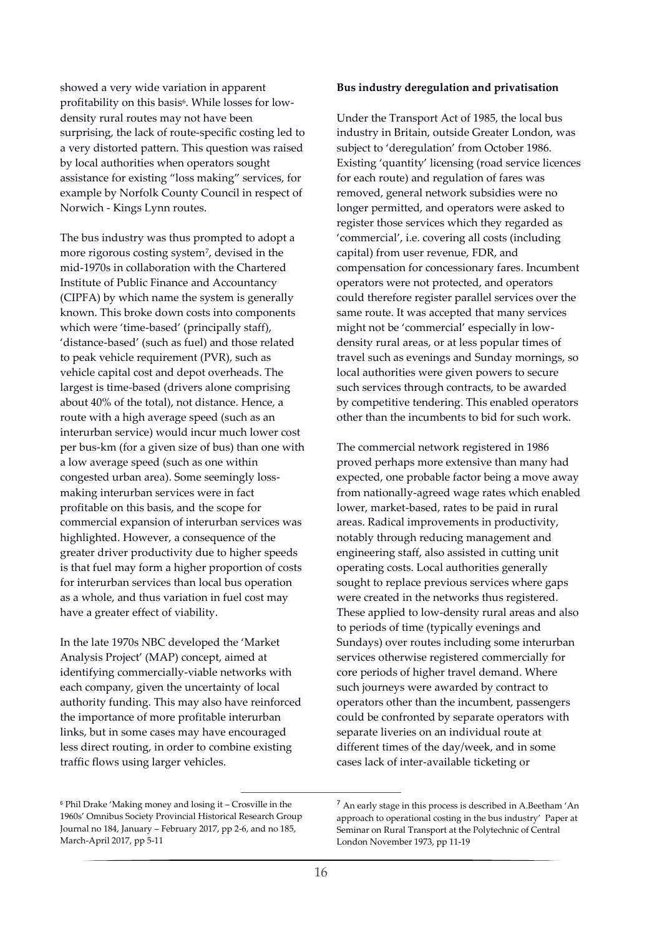showed a very wide variation in apparent profitability on this basis<sup>6</sup>. While losses for lowdensity rural routes may not have been surprising, the lack of route-specific costing led to a very distorted pattern. This question was raised by local authorities when operators sought assistance for existing "loss making" services, for example by Norfolk County Council in respect of Norwich - Kings Lynn routes.

The bus industry was thus prompted to adopt a more rigorous costing system<sup>7</sup> , devised in the mid-1970s in collaboration with the Chartered Institute of Public Finance and Accountancy (CIPFA) by which name the system is generally known. This broke down costs into components which were 'time-based' (principally staff), 'distance-based' (such as fuel) and those related to peak vehicle requirement (PVR), such as vehicle capital cost and depot overheads. The largest is time-based (drivers alone comprising about 40% of the total), not distance. Hence, a route with a high average speed (such as an interurban service) would incur much lower cost per bus-km (for a given size of bus) than one with a low average speed (such as one within congested urban area). Some seemingly lossmaking interurban services were in fact profitable on this basis, and the scope for commercial expansion of interurban services was highlighted. However, a consequence of the greater driver productivity due to higher speeds is that fuel may form a higher proportion of costs for interurban services than local bus operation as a whole, and thus variation in fuel cost may have a greater effect of viability.

In the late 1970s NBC developed the 'Market Analysis Project' (MAP) concept, aimed at identifying commercially-viable networks with each company, given the uncertainty of local authority funding. This may also have reinforced the importance of more profitable interurban links, but in some cases may have encouraged less direct routing, in order to combine existing traffic flows using larger vehicles.

#### **Bus industry deregulation and privatisation**

Under the Transport Act of 1985, the local bus industry in Britain, outside Greater London, was subject to 'deregulation' from October 1986. Existing 'quantity' licensing (road service licences for each route) and regulation of fares was removed, general network subsidies were no longer permitted, and operators were asked to register those services which they regarded as 'commercial', i.e. covering all costs (including capital) from user revenue, FDR, and compensation for concessionary fares. Incumbent operators were not protected, and operators could therefore register parallel services over the same route. It was accepted that many services might not be 'commercial' especially in lowdensity rural areas, or at less popular times of travel such as evenings and Sunday mornings, so local authorities were given powers to secure such services through contracts, to be awarded by competitive tendering. This enabled operators other than the incumbents to bid for such work.

The commercial network registered in 1986 proved perhaps more extensive than many had expected, one probable factor being a move away from nationally-agreed wage rates which enabled lower, market-based, rates to be paid in rural areas. Radical improvements in productivity, notably through reducing management and engineering staff, also assisted in cutting unit operating costs. Local authorities generally sought to replace previous services where gaps were created in the networks thus registered. These applied to low-density rural areas and also to periods of time (typically evenings and Sundays) over routes including some interurban services otherwise registered commercially for core periods of higher travel demand. Where such journeys were awarded by contract to operators other than the incumbent, passengers could be confronted by separate operators with separate liveries on an individual route at different times of the day/week, and in some cases lack of inter-available ticketing or

-

<sup>6</sup> Phil Drake 'Making money and losing it – Crosville in the 1960s' Omnibus Society Provincial Historical Research Group Journal no 184, January – February 2017, pp 2-6, and no 185, March-April 2017, pp 5-11

<sup>7</sup> An early stage in this process is described in A.Beetham 'An approach to operational costing in the bus industry' Paper at Seminar on Rural Transport at the Polytechnic of Central London November 1973, pp 11-19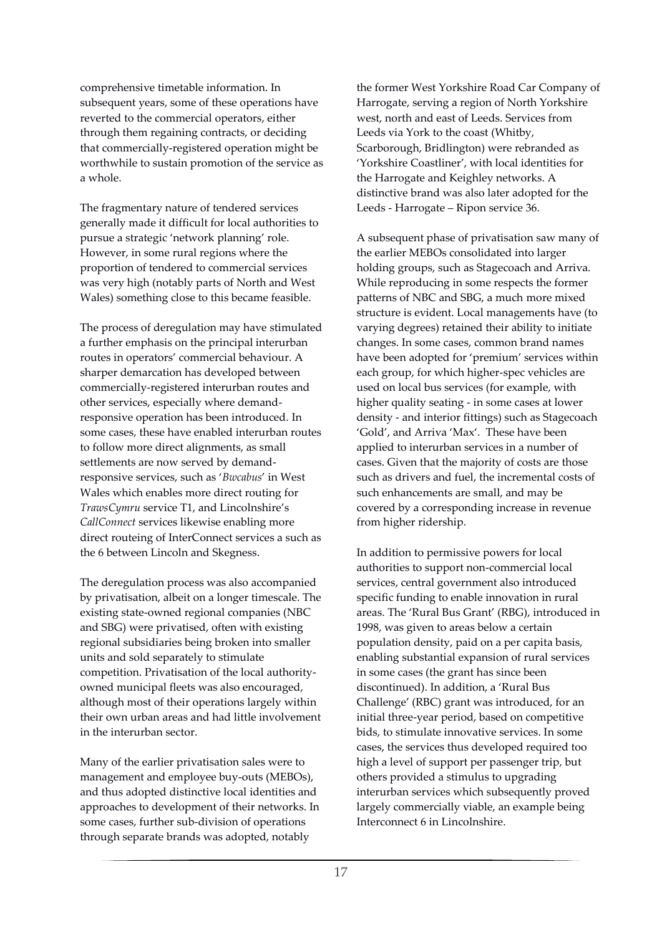comprehensive timetable information. In subsequent years, some of these operations have reverted to the commercial operators, either through them regaining contracts, or deciding that commercially-registered operation might be worthwhile to sustain promotion of the service as a whole.

The fragmentary nature of tendered services generally made it difficult for local authorities to pursue a strategic 'network planning' role. However, in some rural regions where the proportion of tendered to commercial services was very high (notably parts of North and West Wales) something close to this became feasible.

The process of deregulation may have stimulated a further emphasis on the principal interurban routes in operators' commercial behaviour. A sharper demarcation has developed between commercially-registered interurban routes and other services, especially where demandresponsive operation has been introduced. In some cases, these have enabled interurban routes to follow more direct alignments, as small settlements are now served by demandresponsive services, such as '*Bwcabus*' in West Wales which enables more direct routing for *TrawsCymru* service T1, and Lincolnshire's *CallConnect* services likewise enabling more direct routeing of InterConnect services a such as the 6 between Lincoln and Skegness.

The deregulation process was also accompanied by privatisation, albeit on a longer timescale. The existing state-owned regional companies (NBC and SBG) were privatised, often with existing regional subsidiaries being broken into smaller units and sold separately to stimulate competition. Privatisation of the local authorityowned municipal fleets was also encouraged, although most of their operations largely within their own urban areas and had little involvement in the interurban sector.

Many of the earlier privatisation sales were to management and employee buy-outs (MEBOs), and thus adopted distinctive local identities and approaches to development of their networks. In some cases, further sub-division of operations through separate brands was adopted, notably

the former West Yorkshire Road Car Company of Harrogate, serving a region of North Yorkshire west, north and east of Leeds. Services from Leeds via York to the coast (Whitby, Scarborough, Bridlington) were rebranded as 'Yorkshire Coastliner', with local identities for the Harrogate and Keighley networks. A distinctive brand was also later adopted for the Leeds - Harrogate – Ripon service 36.

A subsequent phase of privatisation saw many of the earlier MEBOs consolidated into larger holding groups, such as Stagecoach and Arriva. While reproducing in some respects the former patterns of NBC and SBG, a much more mixed structure is evident. Local managements have (to varying degrees) retained their ability to initiate changes. In some cases, common brand names have been adopted for 'premium' services within each group, for which higher-spec vehicles are used on local bus services (for example, with higher quality seating - in some cases at lower density - and interior fittings) such as Stagecoach 'Gold', and Arriva 'Max'. These have been applied to interurban services in a number of cases. Given that the majority of costs are those such as drivers and fuel, the incremental costs of such enhancements are small, and may be covered by a corresponding increase in revenue from higher ridership.

In addition to permissive powers for local authorities to support non-commercial local services, central government also introduced specific funding to enable innovation in rural areas. The 'Rural Bus Grant' (RBG), introduced in 1998, was given to areas below a certain population density, paid on a per capita basis, enabling substantial expansion of rural services in some cases (the grant has since been discontinued). In addition, a 'Rural Bus Challenge' (RBC) grant was introduced, for an initial three-year period, based on competitive bids, to stimulate innovative services. In some cases, the services thus developed required too high a level of support per passenger trip, but others provided a stimulus to upgrading interurban services which subsequently proved largely commercially viable, an example being Interconnect 6 in Lincolnshire.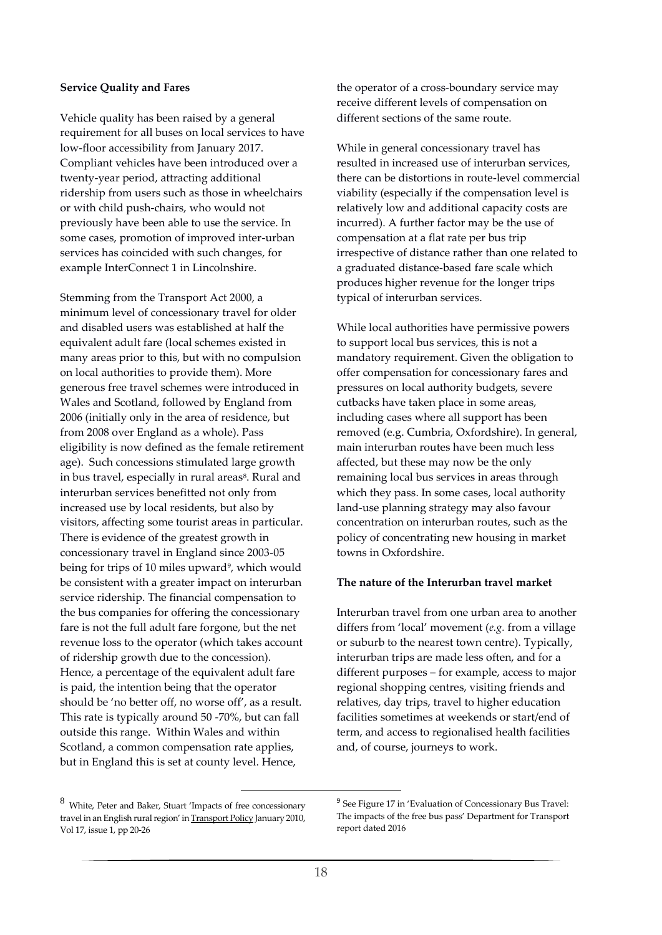#### **Service Quality and Fares**

Vehicle quality has been raised by a general requirement for all buses on local services to have low-floor accessibility from January 2017. Compliant vehicles have been introduced over a twenty-year period, attracting additional ridership from users such as those in wheelchairs or with child push-chairs, who would not previously have been able to use the service. In some cases, promotion of improved inter-urban services has coincided with such changes, for example InterConnect 1 in Lincolnshire.

Stemming from the Transport Act 2000, a minimum level of concessionary travel for older and disabled users was established at half the equivalent adult fare (local schemes existed in many areas prior to this, but with no compulsion on local authorities to provide them). More generous free travel schemes were introduced in Wales and Scotland, followed by England from 2006 (initially only in the area of residence, but from 2008 over England as a whole). Pass eligibility is now defined as the female retirement age). Such concessions stimulated large growth in bus travel, especially in rural areas<sup>8</sup>. Rural and interurban services benefitted not only from increased use by local residents, but also by visitors, affecting some tourist areas in particular. There is evidence of the greatest growth in concessionary travel in England since 2003-05 being for trips of 10 miles upward<sup>9</sup>, which would be consistent with a greater impact on interurban service ridership. The financial compensation to the bus companies for offering the concessionary fare is not the full adult fare forgone, but the net revenue loss to the operator (which takes account of ridership growth due to the concession). Hence, a percentage of the equivalent adult fare is paid, the intention being that the operator should be 'no better off, no worse off', as a result. This rate is typically around 50 -70%, but can fall outside this range. Within Wales and within Scotland, a common compensation rate applies, but in England this is set at county level. Hence,

the operator of a cross-boundary service may receive different levels of compensation on different sections of the same route.

While in general concessionary travel has resulted in increased use of interurban services, there can be distortions in route-level commercial viability (especially if the compensation level is relatively low and additional capacity costs are incurred). A further factor may be the use of compensation at a flat rate per bus trip irrespective of distance rather than one related to a graduated distance-based fare scale which produces higher revenue for the longer trips typical of interurban services.

While local authorities have permissive powers to support local bus services, this is not a mandatory requirement. Given the obligation to offer compensation for concessionary fares and pressures on local authority budgets, severe cutbacks have taken place in some areas, including cases where all support has been removed (e.g. Cumbria, Oxfordshire). In general, main interurban routes have been much less affected, but these may now be the only remaining local bus services in areas through which they pass. In some cases, local authority land-use planning strategy may also favour concentration on interurban routes, such as the policy of concentrating new housing in market towns in Oxfordshire.

#### **The nature of the Interurban travel market**

Interurban travel from one urban area to another differs from 'local' movement (*e.g.* from a village or suburb to the nearest town centre). Typically, interurban trips are made less often, and for a different purposes – for example, access to major regional shopping centres, visiting friends and relatives, day trips, travel to higher education facilities sometimes at weekends or start/end of term, and access to regionalised health facilities and, of course, journeys to work.

-

 $\,8\,$  White, Peter and Baker, Stuart 'Impacts of free concessionary travel in an English rural region' in Transport Policy January 2010, Vol 17, issue 1, pp 20-26

<sup>&</sup>lt;sup>9</sup> See Figure 17 in 'Evaluation of Concessionary Bus Travel: The impacts of the free bus pass' Department for Transport report dated 2016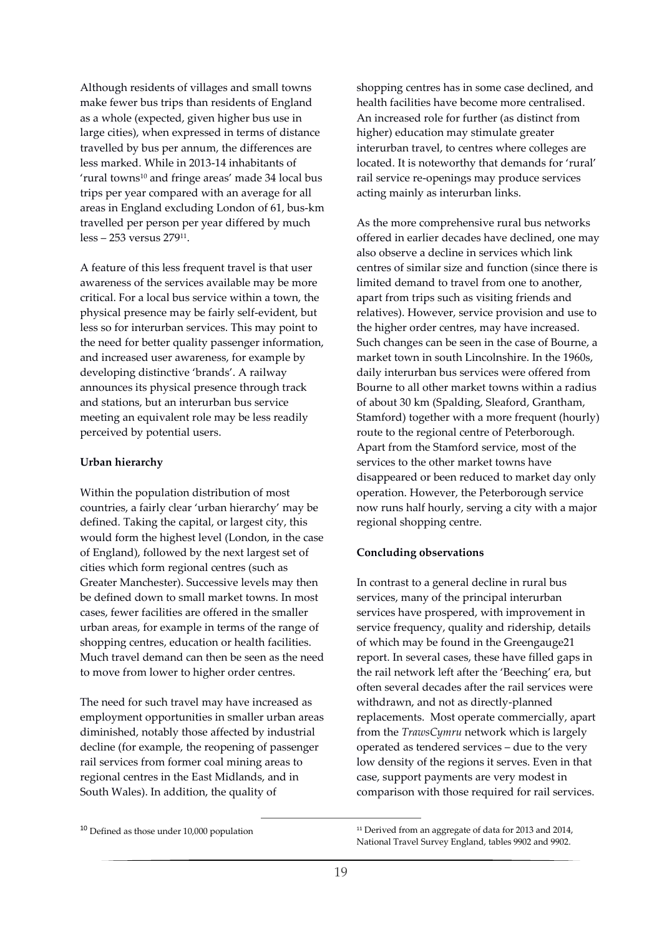Although residents of villages and small towns make fewer bus trips than residents of England as a whole (expected, given higher bus use in large cities), when expressed in terms of distance travelled by bus per annum, the differences are less marked. While in 2013-14 inhabitants of 'rural towns<sup>10</sup> and fringe areas' made 34 local bus trips per year compared with an average for all areas in England excluding London of 61, bus-km travelled per person per year differed by much less – 253 versus 279<sup>11</sup> .

A feature of this less frequent travel is that user awareness of the services available may be more critical. For a local bus service within a town, the physical presence may be fairly self-evident, but less so for interurban services. This may point to the need for better quality passenger information, and increased user awareness, for example by developing distinctive 'brands'. A railway announces its physical presence through track and stations, but an interurban bus service meeting an equivalent role may be less readily perceived by potential users.

#### **Urban hierarchy**

Within the population distribution of most countries, a fairly clear 'urban hierarchy' may be defined. Taking the capital, or largest city, this would form the highest level (London, in the case of England), followed by the next largest set of cities which form regional centres (such as Greater Manchester). Successive levels may then be defined down to small market towns. In most cases, fewer facilities are offered in the smaller urban areas, for example in terms of the range of shopping centres, education or health facilities. Much travel demand can then be seen as the need to move from lower to higher order centres.

The need for such travel may have increased as employment opportunities in smaller urban areas diminished, notably those affected by industrial decline (for example, the reopening of passenger rail services from former coal mining areas to regional centres in the East Midlands, and in South Wales). In addition, the quality of

-

shopping centres has in some case declined, and health facilities have become more centralised. An increased role for further (as distinct from higher) education may stimulate greater interurban travel, to centres where colleges are located. It is noteworthy that demands for 'rural' rail service re-openings may produce services acting mainly as interurban links.

As the more comprehensive rural bus networks offered in earlier decades have declined, one may also observe a decline in services which link centres of similar size and function (since there is limited demand to travel from one to another, apart from trips such as visiting friends and relatives). However, service provision and use to the higher order centres, may have increased. Such changes can be seen in the case of Bourne, a market town in south Lincolnshire. In the 1960s, daily interurban bus services were offered from Bourne to all other market towns within a radius of about 30 km (Spalding, Sleaford, Grantham, Stamford) together with a more frequent (hourly) route to the regional centre of Peterborough. Apart from the Stamford service, most of the services to the other market towns have disappeared or been reduced to market day only operation. However, the Peterborough service now runs half hourly, serving a city with a major regional shopping centre.

#### **Concluding observations**

In contrast to a general decline in rural bus services, many of the principal interurban services have prospered, with improvement in service frequency, quality and ridership, details of which may be found in the Greengauge21 report. In several cases, these have filled gaps in the rail network left after the 'Beeching' era, but often several decades after the rail services were withdrawn, and not as directly-planned replacements. Most operate commercially, apart from the *TrawsCymru* network which is largely operated as tendered services – due to the very low density of the regions it serves. Even in that case, support payments are very modest in comparison with those required for rail services.

<sup>10</sup> Defined as those under 10,000 population

<sup>&</sup>lt;sup>11</sup> Derived from an aggregate of data for 2013 and 2014, National Travel Survey England, tables 9902 and 9902.